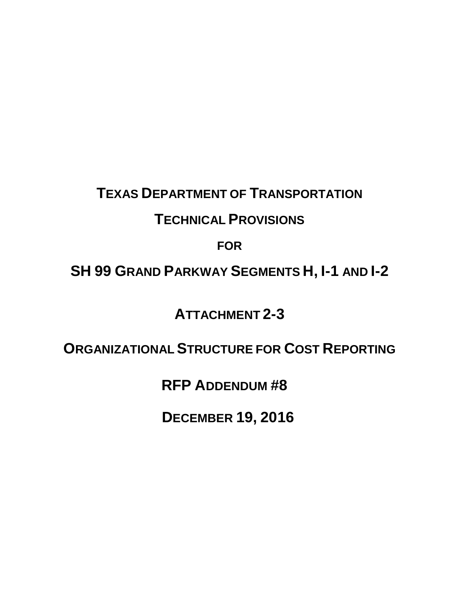# **TEXAS DEPARTMENT OF TRANSPORTATION**

### **TECHNICAL PROVISIONS**

**FOR**

## **SH 99 GRAND PARKWAY SEGMENTS H, I-1 AND I-2**

**ATTACHMENT 2-3** 

**ORGANIZATIONAL STRUCTURE FOR COST REPORTING**

**RFP ADDENDUM #8** 

**DECEMBER 19, 2016**